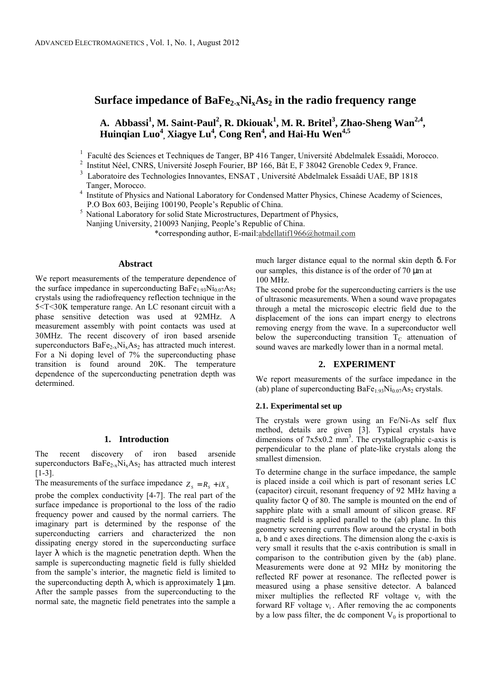# **Surface impedance of BaFe2-xNixAs2 in the radio frequency range**

# A. Abbassi<sup>1</sup>, M. Saint-Paul<sup>2</sup>, R. Dkiouak<sup>1</sup>, M. R. Britel<sup>3</sup>, Zhao-Sheng Wan<sup>2,4</sup>, **Huinqian Luo<sup>4</sup> , Xiagye Lu<sup>4</sup>** *,* **Cong Ren<sup>4</sup>** *,* **and Hai-Hu Wen4,5**

- <sup>1</sup>Faculté des Sciences et Techniques de Tanger, BP 416 Tanger, Université Abdelmalek Essaâdi, Morocco.
- <sup>2</sup>Institut Néel, CNRS, Université Joseph Fourier, BP 166, Bât E, F 38042 Grenoble Cedex 9, France.
- 3 Laboratoire des Technologies Innovantes, ENSAT , Université Abdelmalek Essaâdi UAE, BP 1818 Tanger, Morocco.<br><sup>4</sup> Institute of Physics
- Institute of Physics and National Laboratory for Condensed Matter Physics, Chinese Academy of Sciences, P.O Box 603, Beijing 100190, People's Republic of China.
- National Laboratory for solid State Microstructures, Department of Physics, Nanjing University, 210093 Nanjing, People's Republic of China.

\*corresponding author, E-mail:abdellatif1966@hotmail.com

## **Abstract**

We report measurements of the temperature dependence of the surface impedance in superconducting  $BaFe<sub>1.93</sub>Ni<sub>0.07</sub>As<sub>2</sub>$ crystals using the radiofrequency reflection technique in the 5<T<30K temperature range. An LC resonant circuit with a phase sensitive detection was used at 92MHz. A measurement assembly with point contacts was used at 30MHz. The recent discovery of iron based arsenide superconductors  $BaFe_{2-x}Ni_xAs_2$  has attracted much interest. For a Ni doping level of 7% the superconducting phase transition is found around 20K. The temperature dependence of the superconducting penetration depth was determined.

# **1. Introduction**

The recent discovery of iron based arsenide superconductors BaFe<sub>2-x</sub>Ni<sub>x</sub>As<sub>2</sub> has attracted much interest [1-3].

The measurements of the surface impedance  $Z_s = R_s + iX_s$ 

probe the complex conductivity [4-7]. The real part of the surface impedance is proportional to the loss of the radio frequency power and caused by the normal carriers. The imaginary part is determined by the response of the superconducting carriers and characterized the non dissipating energy stored in the superconducting surface layer  $\lambda$  which is the magnetic penetration depth. When the sample is superconducting magnetic field is fully shielded from the sample's interior, the magnetic field is limited to the superconducting depth  $\lambda$ , which is approximately 1 µm. After the sample passes from the superconducting to the normal sate, the magnetic field penetrates into the sample a much larger distance equal to the normal skin depth δ. For our samples, this distance is of the order of 70 µm at 100 MHz.

The second probe for the superconducting carriers is the use of ultrasonic measurements. When a sound wave propagates through a metal the microscopic electric field due to the displacement of the ions can impart energy to electrons removing energy from the wave. In a superconductor well below the superconducting transition  $T_c$  attenuation of sound waves are markedly lower than in a normal metal.

# **2. EXPERIMENT**

We report measurements of the surface impedance in the (ab) plane of superconducting  $BaFe<sub>1.93</sub>Ni<sub>0.07</sub>As<sub>2</sub> crystals.$ 

## **2.1. Experimental set up**

The crystals were grown using an Fe/Ni-As self flux method, details are given [3]. Typical crystals have dimensions of  $7x5x0.2$  mm<sup>3</sup>. The crystallographic c-axis is perpendicular to the plane of plate-like crystals along the smallest dimension.

To determine change in the surface impedance, the sample is placed inside a coil which is part of resonant series LC (capacitor) circuit, resonant frequency of 92 MHz having a quality factor Q of 80. The sample is mounted on the end of sapphire plate with a small amount of silicon grease. RF magnetic field is applied parallel to the (ab) plane. In this geometry screening currents flow around the crystal in both a, b and c axes directions. The dimension along the c-axis is very small it results that the c-axis contribution is small in comparison to the contribution given by the (ab) plane. Measurements were done at 92 MHz by monitoring the reflected RF power at resonance. The reflected power is measured using a phase sensitive detector. A balanced mixer multiplies the reflected RF voltage  $v_r$  with the forward RF voltage  $v_i$ . After removing the ac components by a low pass filter, the dc component  $V_0$  is proportional to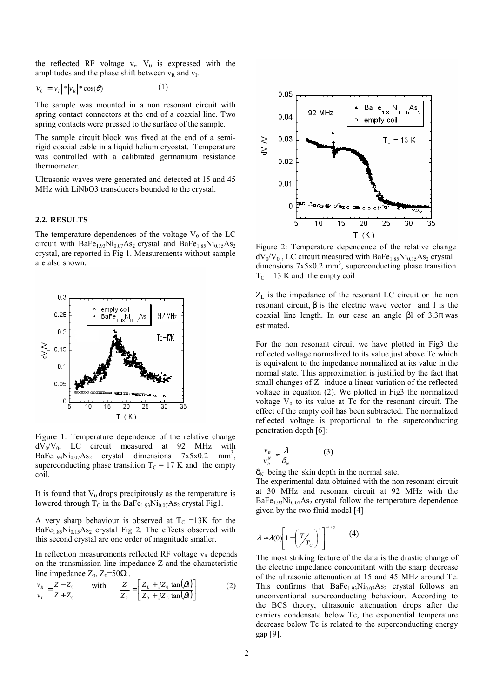the reflected RF voltage  $v_r$ .  $V_0$  is expressed with the amplitudes and the phase shift between  $v_R$  and  $v_I$ .

$$
V_0 = |\mathbf{v}_I| * |\mathbf{v}_R| * \cos(\theta) \tag{1}
$$

The sample was mounted in a non resonant circuit with spring contact connectors at the end of a coaxial line. Two spring contacts were pressed to the surface of the sample.

The sample circuit block was fixed at the end of a semirigid coaxial cable in a liquid helium cryostat. Temperature was controlled with a calibrated germanium resistance thermometer.

Ultrasonic waves were generated and detected at 15 and 45 MHz with LiNbO3 transducers bounded to the crystal.

#### **2.2. RESULTS**

The temperature dependences of the voltage  $V_0$  of the LC circuit with  $BaFe<sub>1.93</sub>Ni<sub>0.07</sub>As<sub>2</sub> crystal and BaFe<sub>1.85</sub>Ni<sub>0.15</sub>As<sub>2</sub>$ crystal, are reported in Fig 1. Measurements without sample are also shown.



Figure 1: Temperature dependence of the relative change  $dV_0/V_0$ , LC circuit measured at 92 MHz with BaFe<sub>1.93</sub>Ni<sub>0.07</sub>As<sub>2</sub> crystal dimensions 7x5x0.2 mm<sup>3</sup>, superconducting phase transition  $T<sub>C</sub> = 17$  K and the empty coil.

It is found that  $V_0$  drops precipitously as the temperature is lowered through  $T_c$  in the BaFe<sub>1.93</sub>Ni<sub>0.07</sub>As<sub>2</sub> crystal Fig1.

A very sharp behaviour is observed at  $T_c = 13K$  for the  $BaFe<sub>1.85</sub>Ni<sub>0.15</sub>As<sub>2</sub> crystal Fig 2. The effects observed with$ this second crystal are one order of magnitude smaller.

In reflection measurements reflected RF voltage  $v_R$  depends on the transmission line impedance Z and the characteristic line impedance  $Z_0$ ,  $Z_0$ =50 $\Omega$ .

$$
\frac{v_R}{v_I} = \frac{Z - Z_0}{Z + Z_0} \quad \text{with} \quad \frac{Z}{Z_0} = \left[ \frac{Z_L + jZ_0 \tan(\beta l)}{Z_0 + jZ_L \tan(\beta l)} \right] \tag{2}
$$



Figure 2: Temperature dependence of the relative change  $dV_0/V_0$ , LC circuit measured with BaFe<sub>1.85</sub>Ni<sub>0.15</sub>As<sub>2</sub> crystal dimensions  $7x5x0.2$  mm<sup>3</sup>, superconducting phase transition  $T_c = 13$  K and the empty coil

 $Z_L$  is the impedance of the resonant LC circuit or the non resonant circuit,  $β$  is the electric wave vector and l is the coaxial line length. In our case an angle βl of 3.3π was estimated.

For the non resonant circuit we have plotted in Fig3 the reflected voltage normalized to its value just above Tc which is equivalent to the impedance normalized at its value in the normal state. This approximation is justified by the fact that small changes of  $Z_L$  induce a linear variation of the reflected voltage in equation (2). We plotted in Fig3 the normalized voltage  $V_0$  to its value at Tc for the resonant circuit. The effect of the empty coil has been subtracted. The normalized reflected voltage is proportional to the superconducting penetration depth [6]:

$$
\frac{v_R}{v_R^N} \approx \frac{\lambda}{\delta_N} \tag{3}
$$

 $\delta_N$  being the skin depth in the normal sate.

The experimental data obtained with the non resonant circuit at 30 MHz and resonant circuit at 92 MHz with the  $BaFe<sub>1.93</sub>Ni<sub>0.07</sub>As<sub>2</sub> crystal follow the temperature dependence$ given by the two fluid model [4]

$$
\lambda \approx \lambda(0) \left[ 1 - \left( \frac{T}{T_c} \right)^4 \right]^{-1/2} \qquad (4)
$$

The most striking feature of the data is the drastic change of the electric impedance concomitant with the sharp decrease of the ultrasonic attenuation at 15 and 45 MHz around Tc. This confirms that  $BaFe<sub>1.93</sub>Ni<sub>0.07</sub>As<sub>2</sub> crystal follows an$ unconventional superconducting behaviour. According to the BCS theory, ultrasonic attenuation drops after the carriers condensate below Tc, the exponential temperature decrease below Tc is related to the superconducting energy gap [9].